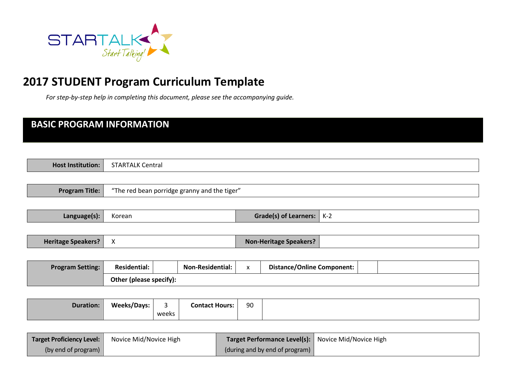

# **2017 STUDENT Program Curriculum Template**

*For step-by-step help in completing this document, please see the accompanying guide.* 

| <b>BASIC PROGRAM INFORMATION</b> |                         |            |                                              |              |                                   |       |  |  |  |
|----------------------------------|-------------------------|------------|----------------------------------------------|--------------|-----------------------------------|-------|--|--|--|
|                                  |                         |            |                                              |              |                                   |       |  |  |  |
| <b>Host Institution:</b>         | <b>STARTALK Central</b> |            |                                              |              |                                   |       |  |  |  |
|                                  |                         |            |                                              |              |                                   |       |  |  |  |
| <b>Program Title:</b>            |                         |            | "The red bean porridge granny and the tiger" |              |                                   |       |  |  |  |
| Language(s):                     | Korean                  |            |                                              |              | <b>Grade(s) of Learners:</b>      | $K-2$ |  |  |  |
|                                  |                         |            |                                              |              |                                   |       |  |  |  |
| <b>Heritage Speakers?</b>        | $\mathsf{X}$            |            |                                              |              | <b>Non-Heritage Speakers?</b>     |       |  |  |  |
|                                  |                         |            |                                              |              |                                   |       |  |  |  |
| <b>Program Setting:</b>          | <b>Residential:</b>     |            | Non-Residential:                             | $\mathsf{x}$ | <b>Distance/Online Component:</b> |       |  |  |  |
|                                  | Other (please specify): |            |                                              |              |                                   |       |  |  |  |
|                                  |                         |            |                                              |              |                                   |       |  |  |  |
| <b>Duration:</b>                 | <b>Weeks/Days:</b>      | 3<br>weeks | <b>Contact Hours:</b>                        | 90           |                                   |       |  |  |  |
|                                  |                         |            |                                              |              |                                   |       |  |  |  |

| <b>Target Proficiency Level:</b> | Novice Mid/Novice High | Target Performance Level(s): Novice Mid/Novice High |  |
|----------------------------------|------------------------|-----------------------------------------------------|--|
| (by end of program)              |                        | (during and by end of program)                      |  |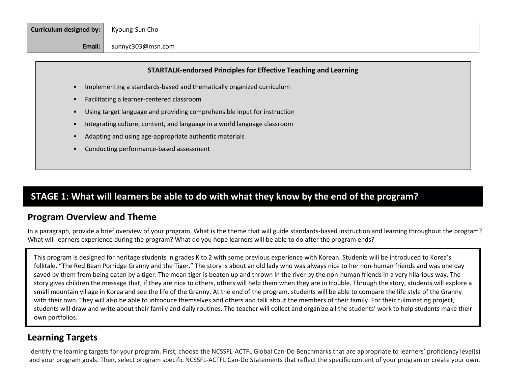| Curriculum designed by: | Kyoung-Sun Cho    |
|-------------------------|-------------------|
| Email:                  | sunnyc303@msn.com |

#### **STARTALK-endorsed Principles for Effective Teaching and Learning**

- Implementing a standards-based and thematically organized curriculum
- Facilitating a learner-centered classroom
- Using target language and providing comprehensible input for instruction
- Integrating culture, content, and language in a world language classroom
- Adapting and using age-appropriate authentic materials
- Conducting performance-based assessment

### **STAGE 1: What will learners be able to do with what they know by the end of the program?**

#### **Program Overview and Theme**

In a paragraph, provide a brief overview of your program. What is the theme that will guide standards-based instruction and learning throughout the program? What will learners experience during the program? What do you hope learners will be able to do after the program ends?

This program is designed for heritage students in grades K to 2 with some previous experience with Korean. Students will be introduced to Korea's folktale, "The Red Bean Porridge Granny and the Tiger." The story is about an old lady who was always nice to her non-human friends and was one day saved by them from being eaten by a tiger. The mean tiger is beaten up and thrown in the river by the non-human friends in a very hilarious way. The story gives children the message that, if they are nice to others, others will help them when they are in trouble. Through the story, students will explore a small mountain village in Korea and see the life of the Granny. At the end of the program, students will be able to compare the life style of the Granny with their own. They will also be able to introduce themselves and others and talk about the members of their family. For their culminating project, students will draw and write about their family and daily routines. The teacher will collect and organize all the students' work to help students make their own portfolios.

#### **Learning Targets**

Identify the learning targets for your program. First, choose the NCSSFL-ACTFL Global Can-Do Benchmarks that are appropriate to learners' proficiency level(s) and your program goals. Then, select program specific NCSSFL-ACTFL Can-Do Statements that reflect the specific content of your program or create your own.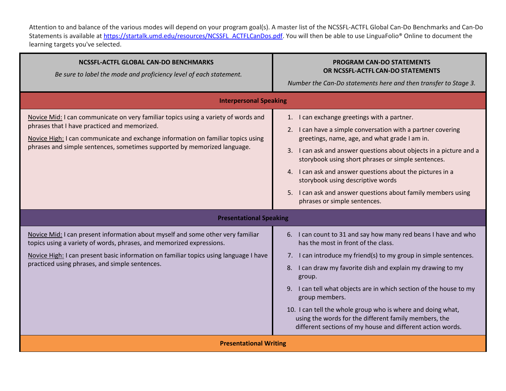Attention to and balance of the various modes will depend on your program goal(s). A master list of the NCSSFL-ACTFL Global Can-Do Benchmarks and Can-Do Statements is available at [https://startalk.umd.edu/resources/NCSSFL\\_ACTFLCanDos.pdf.](https://startalk.umd.edu/resources/NCSSFL_ACTFLCanDos.pdf) You will then be able to use LinguaFolio® Online to document the learning targets you've selected.

| <b>NCSSFL-ACTFL GLOBAL CAN-DO BENCHMARKS</b><br>Be sure to label the mode and proficiency level of each statement.                                                                                                                                                                                 | <b>PROGRAM CAN-DO STATEMENTS</b><br>OR NCSSFL-ACTFL CAN-DO STATEMENTS<br>Number the Can-Do statements here and then transfer to Stage 3.                                                                                                                                                                                                                                                                                                                                                                                            |  |  |
|----------------------------------------------------------------------------------------------------------------------------------------------------------------------------------------------------------------------------------------------------------------------------------------------------|-------------------------------------------------------------------------------------------------------------------------------------------------------------------------------------------------------------------------------------------------------------------------------------------------------------------------------------------------------------------------------------------------------------------------------------------------------------------------------------------------------------------------------------|--|--|
| <b>Interpersonal Speaking</b>                                                                                                                                                                                                                                                                      |                                                                                                                                                                                                                                                                                                                                                                                                                                                                                                                                     |  |  |
| Novice Mid: I can communicate on very familiar topics using a variety of words and<br>phrases that I have practiced and memorized.<br>Novice High: I can communicate and exchange information on familiar topics using<br>phrases and simple sentences, sometimes supported by memorized language. | 1. I can exchange greetings with a partner.<br>2. I can have a simple conversation with a partner covering<br>greetings, name, age, and what grade I am in.<br>3. I can ask and answer questions about objects in a picture and a<br>storybook using short phrases or simple sentences.<br>4. I can ask and answer questions about the pictures in a<br>storybook using descriptive words<br>5. I can ask and answer questions about family members using<br>phrases or simple sentences.                                           |  |  |
| <b>Presentational Speaking</b>                                                                                                                                                                                                                                                                     |                                                                                                                                                                                                                                                                                                                                                                                                                                                                                                                                     |  |  |
| Novice Mid: I can present information about myself and some other very familiar<br>topics using a variety of words, phrases, and memorized expressions.<br>Novice High: I can present basic information on familiar topics using language I have<br>practiced using phrases, and simple sentences. | 6. I can count to 31 and say how many red beans I have and who<br>has the most in front of the class.<br>7. I can introduce my friend(s) to my group in simple sentences.<br>8. I can draw my favorite dish and explain my drawing to my<br>group.<br>I can tell what objects are in which section of the house to my<br>9.<br>group members.<br>10. I can tell the whole group who is where and doing what,<br>using the words for the different family members, the<br>different sections of my house and different action words. |  |  |
| <b>Presentational Writing</b>                                                                                                                                                                                                                                                                      |                                                                                                                                                                                                                                                                                                                                                                                                                                                                                                                                     |  |  |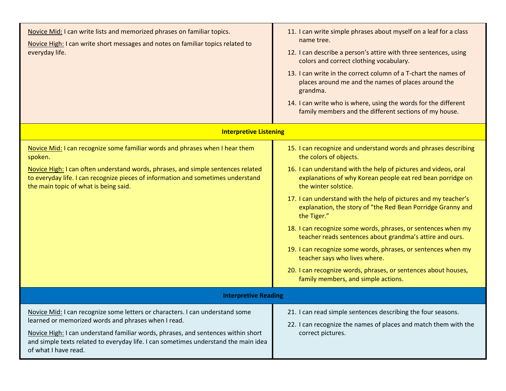| Novice Mid: I can write lists and memorized phrases on familiar topics.<br>Novice High: I can write short messages and notes on familiar topics related to<br>everyday life.                                                                                                                                                             | 11. I can write simple phrases about myself on a leaf for a class<br>name tree.<br>12. I can describe a person's attire with three sentences, using<br>colors and correct clothing vocabulary.<br>13. I can write in the correct column of a T-chart the names of<br>places around me and the names of places around the<br>grandma.<br>14. I can write who is where, using the words for the different<br>family members and the different sections of my house.                                                                                                                                                                                                                                                                           |
|------------------------------------------------------------------------------------------------------------------------------------------------------------------------------------------------------------------------------------------------------------------------------------------------------------------------------------------|---------------------------------------------------------------------------------------------------------------------------------------------------------------------------------------------------------------------------------------------------------------------------------------------------------------------------------------------------------------------------------------------------------------------------------------------------------------------------------------------------------------------------------------------------------------------------------------------------------------------------------------------------------------------------------------------------------------------------------------------|
| <b>Interpretive Listening</b>                                                                                                                                                                                                                                                                                                            |                                                                                                                                                                                                                                                                                                                                                                                                                                                                                                                                                                                                                                                                                                                                             |
| Novice Mid: I can recognize some familiar words and phrases when I hear them<br>spoken.<br>Novice High: I can often understand words, phrases, and simple sentences related<br>to everyday life. I can recognize pieces of information and sometimes understand<br>the main topic of what is being said.                                 | 15. I can recognize and understand words and phrases describing<br>the colors of objects.<br>16. I can understand with the help of pictures and videos, oral<br>explanations of why Korean people eat red bean porridge on<br>the winter solstice.<br>17. I can understand with the help of pictures and my teacher's<br>explanation, the story of "the Red Bean Porridge Granny and<br>the Tiger."<br>18. I can recognize some words, phrases, or sentences when my<br>teacher reads sentences about grandma's attire and ours.<br>19. I can recognize some words, phrases, or sentences when my<br>teacher says who lives where.<br>20. I can recognize words, phrases, or sentences about houses,<br>family members, and simple actions. |
| <b>Interpretive Reading</b>                                                                                                                                                                                                                                                                                                              |                                                                                                                                                                                                                                                                                                                                                                                                                                                                                                                                                                                                                                                                                                                                             |
| Novice Mid: I can recognize some letters or characters. I can understand some<br>learned or memorized words and phrases when I read.<br>Novice High: I can understand familiar words, phrases, and sentences within short<br>and simple texts related to everyday life. I can sometimes understand the main idea<br>of what I have read. | 21. I can read simple sentences describing the four seasons.<br>22. I can recognize the names of places and match them with the<br>correct pictures.                                                                                                                                                                                                                                                                                                                                                                                                                                                                                                                                                                                        |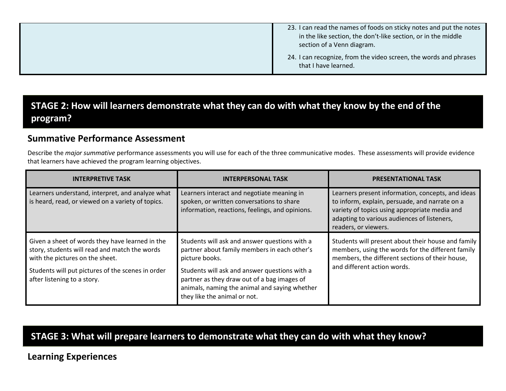| 23. I can read the names of foods on sticky notes and put the notes<br>in the like section, the don't-like section, or in the middle<br>section of a Venn diagram. |
|--------------------------------------------------------------------------------------------------------------------------------------------------------------------|
| 24. I can recognize, from the video screen, the words and phrases<br>that I have learned.                                                                          |

## **STAGE 2: How will learners demonstrate what they can do with what they know by the end of the program?**

### **Summative Performance Assessment**

Describe the *major summative* performance assessments you will use for each of the three communicative modes. These assessments will provide evidence that learners have achieved the program learning objectives.

| <b>INTERPRETIVE TASK</b>                                                                                                            | <b>INTERPERSONAL TASK</b>                                                                                                                                                     | <b>PRESENTATIONAL TASK</b>                                                                                                                                                                                                  |
|-------------------------------------------------------------------------------------------------------------------------------------|-------------------------------------------------------------------------------------------------------------------------------------------------------------------------------|-----------------------------------------------------------------------------------------------------------------------------------------------------------------------------------------------------------------------------|
| Learners understand, interpret, and analyze what<br>is heard, read, or viewed on a variety of topics.                               | Learners interact and negotiate meaning in<br>spoken, or written conversations to share<br>information, reactions, feelings, and opinions.                                    | Learners present information, concepts, and ideas<br>to inform, explain, persuade, and narrate on a<br>variety of topics using appropriate media and<br>adapting to various audiences of listeners,<br>readers, or viewers. |
| Given a sheet of words they have learned in the<br>story, students will read and match the words<br>with the pictures on the sheet. | Students will ask and answer questions with a<br>partner about family members in each other's<br>picture books.                                                               | Students will present about their house and family<br>members, using the words for the different family<br>members, the different sections of their house,                                                                  |
| Students will put pictures of the scenes in order<br>after listening to a story.                                                    | Students will ask and answer questions with a<br>partner as they draw out of a bag images of<br>animals, naming the animal and saying whether<br>they like the animal or not. | and different action words.                                                                                                                                                                                                 |

### **STAGE 3: What will prepare learners to demonstrate what they can do with what they know?**

#### **Learning Experiences**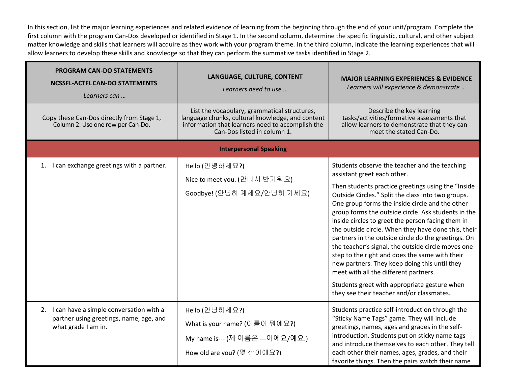In this section, list the major learning experiences and related evidence of learning from the beginning through the end of your unit/program. Complete the first column with the program Can-Dos developed or identified in Stage 1. In the second column, determine the specific linguistic, cultural, and other subject matter knowledge and skills that learners will acquire as they work with your program theme. In the third column, indicate the learning experiences that will allow learners to develop these skills and knowledge so that they can perform the summative tasks identified in Stage 2.

| <b>PROGRAM CAN-DO STATEMENTS</b><br><b>NCSSFL-ACTFL CAN-DO STATEMENTS</b><br>Learners can                    | LANGUAGE, CULTURE, CONTENT<br>Learners need to use                                                                                                                                  | <b>MAJOR LEARNING EXPERIENCES &amp; EVIDENCE</b><br>Learners will experience & demonstrate                                                                                                                                                                                                                                                                                                                                                                                                                                                                                                                                                                                                                                                                           |
|--------------------------------------------------------------------------------------------------------------|-------------------------------------------------------------------------------------------------------------------------------------------------------------------------------------|----------------------------------------------------------------------------------------------------------------------------------------------------------------------------------------------------------------------------------------------------------------------------------------------------------------------------------------------------------------------------------------------------------------------------------------------------------------------------------------------------------------------------------------------------------------------------------------------------------------------------------------------------------------------------------------------------------------------------------------------------------------------|
| Copy these Can-Dos directly from Stage 1,<br>Column 2. Use one row per Can-Do.                               | List the vocabulary, grammatical structures,<br>language chunks, cultural knowledge, and content<br>information that learners need to accomplish the<br>Can-Dos listed in column 1. | Describe the key learning<br>tasks/activities/formative assessments that<br>allow learners to demonstrate that they can<br>meet the stated Can-Do.                                                                                                                                                                                                                                                                                                                                                                                                                                                                                                                                                                                                                   |
|                                                                                                              | <b>Interpersonal Speaking</b>                                                                                                                                                       |                                                                                                                                                                                                                                                                                                                                                                                                                                                                                                                                                                                                                                                                                                                                                                      |
| 1. I can exchange greetings with a partner.                                                                  | Hello (안녕하세요?)<br>Nice to meet you. (만나서 반가워요)<br>Goodbye! (안녕히 계세요/안녕히 가세요)                                                                                                        | Students observe the teacher and the teaching<br>assistant greet each other.<br>Then students practice greetings using the "Inside<br>Outside Circles." Split the class into two groups.<br>One group forms the inside circle and the other<br>group forms the outside circle. Ask students in the<br>inside circles to greet the person facing them in<br>the outside circle. When they have done this, their<br>partners in the outside circle do the greetings. On<br>the teacher's signal, the outside circle moves one<br>step to the right and does the same with their<br>new partners. They keep doing this until they<br>meet with all the different partners.<br>Students greet with appropriate gesture when<br>they see their teacher and/or classmates. |
| 2. I can have a simple conversation with a<br>partner using greetings, name, age, and<br>what grade I am in. | Hello (안녕하세요?)<br>What is your name? (이름이 뭐예요?)<br>My name is--- (제 이름은 ---이에요/예요.)<br>How old are you? (몇 살이에요?)                                                                   | Students practice self-introduction through the<br>"Sticky Name Tags" game. They will include<br>greetings, names, ages and grades in the self-<br>introduction. Students put on sticky name tags<br>and introduce themselves to each other. They tell<br>each other their names, ages, grades, and their<br>favorite things. Then the pairs switch their name                                                                                                                                                                                                                                                                                                                                                                                                       |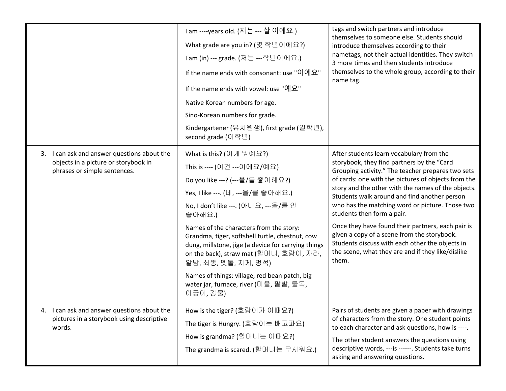|                                                                                                                     | 1 am ----years old. (저는 --- 살 이에요.)<br>What grade are you in? (몇 학년이에요?)<br>1 am (in) --- grade. (저는 ---학년이에요.)<br>If the name ends with consonant: use "이에요"<br>If the name ends with vowel: use "예요"<br>Native Korean numbers for age.<br>Sino-Korean numbers for grade.<br>Kindergartener (유치원생), first grade (일학년),<br>second grade (이학년)                                                                                                                                                                 | tags and switch partners and introduce<br>themselves to someone else. Students should<br>introduce themselves according to their<br>nametags, not their actual identities. They switch<br>3 more times and then students introduce<br>themselves to the whole group, according to their<br>name tag.                                                                                                                                                                                                                                                                                                           |
|---------------------------------------------------------------------------------------------------------------------|---------------------------------------------------------------------------------------------------------------------------------------------------------------------------------------------------------------------------------------------------------------------------------------------------------------------------------------------------------------------------------------------------------------------------------------------------------------------------------------------------------------|----------------------------------------------------------------------------------------------------------------------------------------------------------------------------------------------------------------------------------------------------------------------------------------------------------------------------------------------------------------------------------------------------------------------------------------------------------------------------------------------------------------------------------------------------------------------------------------------------------------|
| 3. I can ask and answer questions about the<br>objects in a picture or storybook in<br>phrases or simple sentences. | What is this? (이게 뭐예요?)<br>This is ---- (이건 ---이에요/예요)<br>Do you like ---? (---을/를 좋아해요?)<br>Yes, I like ---. (네, ---을/를 좋아해요.)<br>No, I don't like ---. (아니요, ---을/를 안<br>좋아해요.)<br>Names of the characters from the story:<br>Grandma, tiger, softshell turtle, chestnut, cow<br>dung, millstone, jige (a device for carrying things<br>on the back), straw mat (할머니, 호랑이, 자라,<br>알밤, 쇠똥, 멧돌, 지게, 멍석)<br>Names of things: village, red bean patch, big<br>water jar, furnace, river (마을, 팥밭, 물독,<br>아궁이,강물) | After students learn vocabulary from the<br>storybook, they find partners by the "Card<br>Grouping activity." The teacher prepares two sets<br>of cards: one with the pictures of objects from the<br>story and the other with the names of the objects.<br>Students walk around and find another person<br>who has the matching word or picture. Those two<br>students then form a pair.<br>Once they have found their partners, each pair is<br>given a copy of a scene from the storybook.<br>Students discuss with each other the objects in<br>the scene, what they are and if they like/dislike<br>them. |
| I can ask and answer questions about the<br>pictures in a storybook using descriptive<br>words.                     | How is the tiger? (호랑이가 어때요?)<br>The tiger is Hungry. (호랑이는 배고파요)<br>How is grandma? (할머니는 어때요?)<br>The grandma is scared. (할머니는 무서워요.)                                                                                                                                                                                                                                                                                                                                                                       | Pairs of students are given a paper with drawings<br>of characters from the story. One student points<br>to each character and ask questions, how is ----.<br>The other student answers the questions using<br>descriptive words, --- is ------. Students take turns<br>asking and answering questions.                                                                                                                                                                                                                                                                                                        |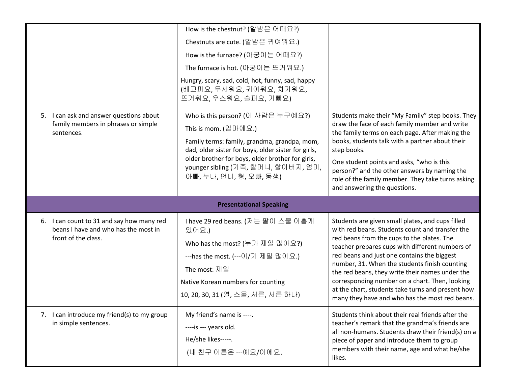|                                                                                                          | How is the chestnut? (알밤은 어때요?)<br>Chestnuts are cute. (알밤은 귀여워요.)<br>How is the furnace? (아궁이는 어때요?)<br>The furnace is hot. (아궁이는 뜨거워요.)<br>Hungry, scary, sad, cold, hot, funny, sad, happy<br>(배고파요, 무서워요, 귀여워요, 차가워요,<br>뜨거워요, 우스워요, 슬퍼요, 기뻐요)                                              |                                                                                                                                                                                                                                                                                                                                                                                                                                                                                                                  |
|----------------------------------------------------------------------------------------------------------|-------------------------------------------------------------------------------------------------------------------------------------------------------------------------------------------------------------------------------------------------------------------------------------------------|------------------------------------------------------------------------------------------------------------------------------------------------------------------------------------------------------------------------------------------------------------------------------------------------------------------------------------------------------------------------------------------------------------------------------------------------------------------------------------------------------------------|
| 5. I can ask and answer questions about<br>family members in phrases or simple<br>sentences.             | Who is this person? (이 사람은 누구예요?)<br>This is mom. $(210 \text{ m})$<br>Family terms: family, grandma, grandpa, mom,<br>dad, older sister for boys, older sister for girls,<br>older brother for boys, older brother for girls,<br>younger sibling (가족, 할머니, 할아버지, 엄마,<br>아빠, 누나, 언니, 형, 오빠, 동생) | Students make their "My Family" step books. They<br>draw the face of each family member and write<br>the family terms on each page. After making the<br>books, students talk with a partner about their<br>step books.<br>One student points and asks, "who is this<br>person?" and the other answers by naming the<br>role of the family member. They take turns asking<br>and answering the questions.                                                                                                         |
|                                                                                                          |                                                                                                                                                                                                                                                                                                 |                                                                                                                                                                                                                                                                                                                                                                                                                                                                                                                  |
|                                                                                                          | <b>Presentational Speaking</b>                                                                                                                                                                                                                                                                  |                                                                                                                                                                                                                                                                                                                                                                                                                                                                                                                  |
| 6. I can count to 31 and say how many red<br>beans I have and who has the most in<br>front of the class. | I have 29 red beans. (저는 팥이 스물 아홉개<br>있어요.)<br>Who has the most? (누가 제일 많아요?)<br>---has the most. (---이/가 제일 많아요.)<br>The most: 제일<br>Native Korean numbers for counting<br>10, 20, 30, 31 (열, 스물, 서른, 서른 하나)                                                                                   | Students are given small plates, and cups filled<br>with red beans. Students count and transfer the<br>red beans from the cups to the plates. The<br>teacher prepares cups with different numbers of<br>red beans and just one contains the biggest<br>number, 31. When the students finish counting<br>the red beans, they write their names under the<br>corresponding number on a chart. Then, looking<br>at the chart, students take turns and present how<br>many they have and who has the most red beans. |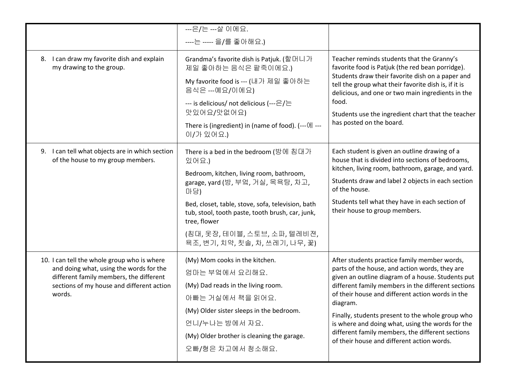|                                                                                      | ---은/는 ---살 이에요.                                                                                                      |                                                                                                                                                               |  |
|--------------------------------------------------------------------------------------|-----------------------------------------------------------------------------------------------------------------------|---------------------------------------------------------------------------------------------------------------------------------------------------------------|--|
|                                                                                      | ----는 ----- 을/를 좋아해요.)                                                                                                |                                                                                                                                                               |  |
|                                                                                      |                                                                                                                       |                                                                                                                                                               |  |
| 8. I can draw my favorite dish and explain<br>my drawing to the group.               | Grandma's favorite dish is Patjuk. (할머니가<br>제일 좋아하는 음식은 팥죽이에요.)                                                       | Teacher reminds students that the Granny's<br>favorite food is Patjuk (the red bean porridge).                                                                |  |
|                                                                                      | My favorite food is --- (내가 제일 좋아하는<br>음식은 ---예요/이에요)                                                                 | Students draw their favorite dish on a paper and<br>tell the group what their favorite dish is, if it is<br>delicious, and one or two main ingredients in the |  |
|                                                                                      | --- is delicious/ not delicious (---은/는<br>맛있어요/맛없어요)                                                                 | food.<br>Students use the ingredient chart that the teacher                                                                                                   |  |
|                                                                                      | There is (ingredient) in (name of food). (---에 ---<br>이/가 있어요.)                                                       | has posted on the board.                                                                                                                                      |  |
| 9. I can tell what objects are in which section<br>of the house to my group members. | There is a bed in the bedroom (방에 침대가<br>있어요.)                                                                        | Each student is given an outline drawing of a<br>house that is divided into sections of bedrooms,                                                             |  |
|                                                                                      | Bedroom, kitchen, living room, bathroom,                                                                              | kitchen, living room, bathroom, garage, and yard.                                                                                                             |  |
|                                                                                      | garage, yard (방, 부엌, 거실, 목욕탕, 차고,<br>마당)                                                                              | Students draw and label 2 objects in each section<br>of the house.                                                                                            |  |
|                                                                                      | Bed, closet, table, stove, sofa, television, bath<br>tub, stool, tooth paste, tooth brush, car, junk,<br>tree, flower | Students tell what they have in each section of<br>their house to group members.                                                                              |  |
|                                                                                      | (침대, 옷장, 테이블, 스토브, 소파, 텔레비젼,<br>욕조, 변기, 치약, 칫솔, 차, 쓰레기, 나무, 꽃)                                                        |                                                                                                                                                               |  |
| 10. I can tell the whole group who is where                                          | (My) Mom cooks in the kitchen.                                                                                        | After students practice family member words,                                                                                                                  |  |
| and doing what, using the words for the                                              | 엄마는 부엌에서 요리해요.                                                                                                        | parts of the house, and action words, they are                                                                                                                |  |
| different family members, the different<br>sections of my house and different action | (My) Dad reads in the living room.                                                                                    | given an outline diagram of a house. Students put<br>different family members in the different sections                                                       |  |
| words.                                                                               | 아빠는 거실에서 책을 읽어요.                                                                                                      | of their house and different action words in the                                                                                                              |  |
|                                                                                      | (My) Older sister sleeps in the bedroom.                                                                              | diagram.                                                                                                                                                      |  |
|                                                                                      | 언니/누나는 방에서 자요.                                                                                                        | Finally, students present to the whole group who                                                                                                              |  |
|                                                                                      |                                                                                                                       | is where and doing what, using the words for the<br>different family members, the different sections                                                          |  |
|                                                                                      | (My) Older brother is cleaning the garage.                                                                            | of their house and different action words.                                                                                                                    |  |
|                                                                                      | 오빠/형은 차고에서 청소해요.                                                                                                      |                                                                                                                                                               |  |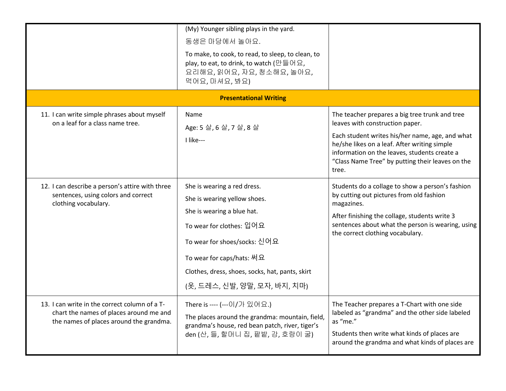|                                                                                                                                     | (My) Younger sibling plays in the yard.<br>동생은 마당에서 놀아요.<br>To make, to cook, to read, to sleep, to clean, to<br>play, to eat, to drink, to watch (만들어요,<br>요리해요, 읽어요, 자요, 청소해요, 놀아요,<br>먹어요, 마셔요, 봐요)<br><b>Presentational Writing</b>                               |                                                                                                                                                                                                                                                                                                   |
|-------------------------------------------------------------------------------------------------------------------------------------|-----------------------------------------------------------------------------------------------------------------------------------------------------------------------------------------------------------------------------------------------------------------------|---------------------------------------------------------------------------------------------------------------------------------------------------------------------------------------------------------------------------------------------------------------------------------------------------|
| 11. I can write simple phrases about myself<br>on a leaf for a class name tree.                                                     | Name<br>Age: 5살, 6살, 7살, 8살<br>I like---                                                                                                                                                                                                                              | The teacher prepares a big tree trunk and tree<br>leaves with construction paper.<br>Each student writes his/her name, age, and what<br>he/she likes on a leaf. After writing simple<br>information on the leaves, students create a<br>"Class Name Tree" by putting their leaves on the<br>tree. |
| 12. I can describe a person's attire with three<br>sentences, using colors and correct<br>clothing vocabulary.                      | She is wearing a red dress.<br>She is wearing yellow shoes.<br>She is wearing a blue hat.<br>To wear for clothes: 입어요<br>To wear for shoes/socks: 신어요<br>To wear for caps/hats: 써요<br>Clothes, dress, shoes, socks, hat, pants, skirt<br>(옷, 드레스, 신발, 양말, 모자, 바지, 치마) | Students do a collage to show a person's fashion<br>by cutting out pictures from old fashion<br>magazines.<br>After finishing the collage, students write 3<br>sentences about what the person is wearing, using<br>the correct clothing vocabulary.                                              |
| 13. I can write in the correct column of a T-<br>chart the names of places around me and<br>the names of places around the grandma. | There is ---- (---이/가 있어요.)<br>The places around the grandma: mountain, field,<br>grandma's house, red bean patch, river, tiger's<br>den (산, 들, 할머니 집, 팥밭, 강, 호랑이 굴)                                                                                                  | The Teacher prepares a T-Chart with one side<br>labeled as "grandma" and the other side labeled<br>as "me."<br>Students then write what kinds of places are<br>around the grandma and what kinds of places are                                                                                    |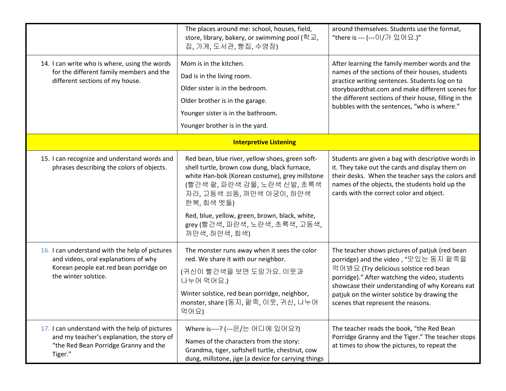|                                                                                                                                                          | The places around me: school, houses, field,<br>store, library, bakery, or swimming pool (학교,<br>집, 가게, 도서관, 빵집, 수영장)                                                                                                                                                                                                           | around themselves. Students use the format,<br>"there is --- (---이/가 있어요.)"                                                                                                                                                                                                                                                |
|----------------------------------------------------------------------------------------------------------------------------------------------------------|---------------------------------------------------------------------------------------------------------------------------------------------------------------------------------------------------------------------------------------------------------------------------------------------------------------------------------|----------------------------------------------------------------------------------------------------------------------------------------------------------------------------------------------------------------------------------------------------------------------------------------------------------------------------|
| 14. I can write who is where, using the words<br>for the different family members and the<br>different sections of my house.                             | Mom is in the kitchen.<br>Dad is in the living room.<br>Older sister is in the bedroom.<br>Older brother is in the garage.<br>Younger sister is in the bathroom.<br>Younger brother is in the yard.                                                                                                                             | After learning the family member words and the<br>names of the sections of their houses, students<br>practice writing sentences. Students log on to<br>storyboardthat.com and make different scenes for<br>the different sections of their house, filling in the<br>bubbles with the sentences, "who is where."            |
| <b>Interpretive Listening</b>                                                                                                                            |                                                                                                                                                                                                                                                                                                                                 |                                                                                                                                                                                                                                                                                                                            |
| 15. I can recognize and understand words and<br>phrases describing the colors of objects.                                                                | Red bean, blue river, yellow shoes, green soft-<br>shell turtle, brown cow dung, black furnace,<br>white Han-bok (Korean costume), grey millstone<br>(빨간색 팥, 파란색 강물, 노란색 신발, 초록색<br>자라, 고동색 쇠똥, 까만색 아궁이, 하얀색<br>한복, 회색 멧돌)<br>Red, blue, yellow, green, brown, black, white,<br>grey (빨간색, 파란색, 노란색, 초록색, 고동색,<br>까만색, 하얀색, 회색) | Students are given a bag with descriptive words in<br>it. They take out the cards and display them on<br>their desks. When the teacher says the colors and<br>names of the objects, the students hold up the<br>cards with the correct color and object.                                                                   |
| 16. I can understand with the help of pictures<br>and videos, oral explanations of why<br>Korean people eat red bean porridge on<br>the winter solstice. | The monster runs away when it sees the color<br>red. We share it with our neighbor.<br>(귀신이 빨간색을 보면 도망가요. 이웃과<br>나누어 먹어요.)<br>Winter solstice, red bean porridge, neighbor,<br>monster, share (동지, 팥죽, 이웃, 귀신, 나누어<br>먹어요)                                                                                                      | The teacher shows pictures of patjuk (red bean<br>porridge) and the video, "맛있는 동지 팥죽을<br>먹어봐요 (Try delicious solstice red bean<br>porridge)." After watching the video, students<br>showcase their understanding of why Koreans eat<br>patjuk on the winter solstice by drawing the<br>scenes that represent the reasons. |
| 17. I can understand with the help of pictures<br>and my teacher's explanation, the story of<br>"the Red Bean Porridge Granny and the<br>Tiger."         | Where is----? (---은/는 어디에 있어요?)<br>Names of the characters from the story:<br>Grandma, tiger, softshell turtle, chestnut, cow<br>dung, millstone, jige (a device for carrying things                                                                                                                                            | The teacher reads the book, "the Red Bean<br>Porridge Granny and the Tiger." The teacher stops<br>at times to show the pictures, to repeat the                                                                                                                                                                             |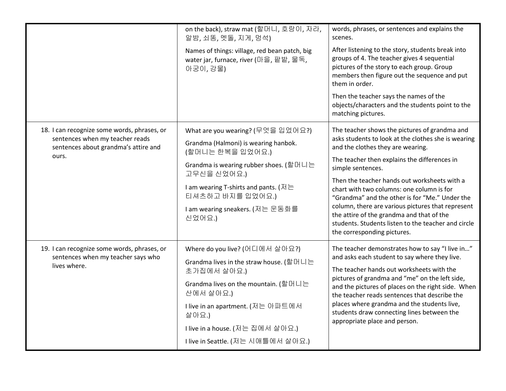|                                                                                                                                 | on the back), straw mat (할머니, 호랑이, 자라,<br>알밤, 쇠똥, 멧돌, 지게, 멍석)<br>Names of things: village, red bean patch, big<br>water jar, furnace, river (마을, 팥밭, 물독,<br>아궁이,강물)                                                                                                 | words, phrases, or sentences and explains the<br>scenes.<br>After listening to the story, students break into<br>groups of 4. The teacher gives 4 sequential<br>pictures of the story to each group. Group<br>members then figure out the sequence and put<br>them in order.<br>Then the teacher says the names of the<br>objects/characters and the students point to the                                                                                                                                                                                                  |
|---------------------------------------------------------------------------------------------------------------------------------|---------------------------------------------------------------------------------------------------------------------------------------------------------------------------------------------------------------------------------------------------------------------|-----------------------------------------------------------------------------------------------------------------------------------------------------------------------------------------------------------------------------------------------------------------------------------------------------------------------------------------------------------------------------------------------------------------------------------------------------------------------------------------------------------------------------------------------------------------------------|
| 18. I can recognize some words, phrases, or<br>sentences when my teacher reads<br>sentences about grandma's attire and<br>ours. | What are you wearing? (무엇을 입었어요?)<br>Grandma (Halmoni) is wearing hanbok.<br>(할머니는 한복을 입었어요.)<br>Grandma is wearing rubber shoes. (할머니는<br>고무신을 신었어요.)<br>I am wearing T-shirts and pants. (저는<br>티셔츠하고 바지를 입었어요.)<br>I am wearing sneakers. (저는 운동화를<br>신었어요.)     | matching pictures.<br>The teacher shows the pictures of grandma and<br>asks students to look at the clothes she is wearing<br>and the clothes they are wearing.<br>The teacher then explains the differences in<br>simple sentences.<br>Then the teacher hands out worksheets with a<br>chart with two columns: one column is for<br>"Grandma" and the other is for "Me." Under the<br>column, there are various pictures that represent<br>the attire of the grandma and that of the<br>students. Students listen to the teacher and circle<br>the corresponding pictures. |
| 19. I can recognize some words, phrases, or<br>sentences when my teacher says who<br>lives where.                               | Where do you live? (어디에서 살아요?)<br>Grandma lives in the straw house. (할머니는<br>초가집에서 살아요.)<br>Grandma lives on the mountain. (할머니는<br>산에서 살아요.)<br>I live in an apartment. (저는 아파트에서<br>살아요.)<br>I live in a house. (저는 집에서 살아요.)<br>Tive in Seattle. (저는 시애틀에서 살아요.) | The teacher demonstrates how to say "I live in"<br>and asks each student to say where they live.<br>The teacher hands out worksheets with the<br>pictures of grandma and "me" on the left side,<br>and the pictures of places on the right side. When<br>the teacher reads sentences that describe the<br>places where grandma and the students live,<br>students draw connecting lines between the<br>appropriate place and person.                                                                                                                                        |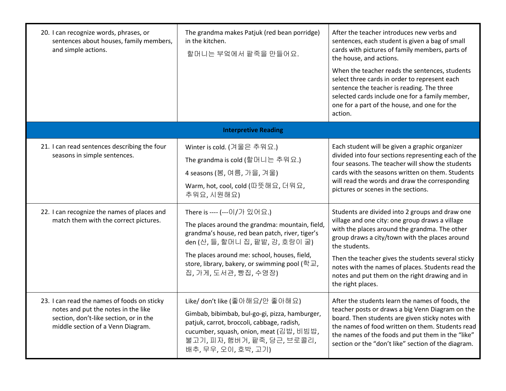| 20. I can recognize words, phrases, or<br>sentences about houses, family members,<br>and simple actions.                                                          | The grandma makes Patjuk (red bean porridge)<br>in the kitchen.<br>할머니는 부엌에서 팥죽을 만들어요.                                                                                                                                                                                                        | After the teacher introduces new verbs and<br>sentences, each student is given a bag of small<br>cards with pictures of family members, parts of<br>the house, and actions.<br>When the teacher reads the sentences, students<br>select three cards in order to represent each<br>sentence the teacher is reading. The three<br>selected cards include one for a family member,<br>one for a part of the house, and one for the<br>action. |  |  |
|-------------------------------------------------------------------------------------------------------------------------------------------------------------------|-----------------------------------------------------------------------------------------------------------------------------------------------------------------------------------------------------------------------------------------------------------------------------------------------|--------------------------------------------------------------------------------------------------------------------------------------------------------------------------------------------------------------------------------------------------------------------------------------------------------------------------------------------------------------------------------------------------------------------------------------------|--|--|
| <b>Interpretive Reading</b>                                                                                                                                       |                                                                                                                                                                                                                                                                                               |                                                                                                                                                                                                                                                                                                                                                                                                                                            |  |  |
| 21. I can read sentences describing the four<br>seasons in simple sentences.                                                                                      | Winter is cold. (겨울은 추워요.)<br>The grandma is cold (할머니는 추워요.)<br>4 seasons (봄, 여름, 가을, 겨울)<br>Warm, hot, cool, cold (따뜻해요, 더워요,<br>추워요, 시원해요)                                                                                                                                                 | Each student will be given a graphic organizer<br>divided into four sections representing each of the<br>four seasons. The teacher will show the students<br>cards with the seasons written on them. Students<br>will read the words and draw the corresponding<br>pictures or scenes in the sections.                                                                                                                                     |  |  |
| 22. I can recognize the names of places and<br>match them with the correct pictures.                                                                              | There is ---- (---이/가 있어요.)<br>The places around the grandma: mountain, field,<br>grandma's house, red bean patch, river, tiger's<br>den (산, 들, 할머니 집, 팥밭, 강, 호랑이 굴)<br>The places around me: school, houses, field,<br>store, library, bakery, or swimming pool (학교,<br>집, 가게, 도서관, 빵집, 수영장) | Students are divided into 2 groups and draw one<br>village and one city: one group draws a village<br>with the places around the grandma. The other<br>group draws a city/town with the places around<br>the students.<br>Then the teacher gives the students several sticky<br>notes with the names of places. Students read the<br>notes and put them on the right drawing and in<br>the right places.                                   |  |  |
| 23. I can read the names of foods on sticky<br>notes and put the notes in the like<br>section, don't-like section, or in the<br>middle section of a Venn Diagram. | Like/ don't like (좋아해요/안 좋아해요)<br>Gimbab, bibimbab, bul-go-gi, pizza, hamburger,<br>patjuk, carrot, broccoli, cabbage, radish,<br>cucumber, squash, onion, meat (김밥, 비빔밥,<br>불고기, 피자, 햄버거, 팥죽, 당근, 브로콜리,<br>배추, 무우, 오이, 호박, 고기)                                                               | After the students learn the names of foods, the<br>teacher posts or draws a big Venn Diagram on the<br>board. Then students are given sticky notes with<br>the names of food written on them. Students read<br>the names of the foods and put them in the "like"<br>section or the "don't like" section of the diagram.                                                                                                                   |  |  |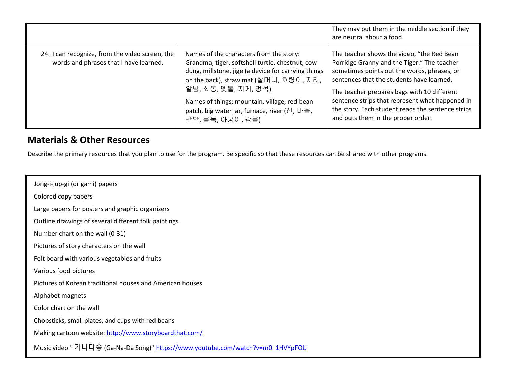|                                                                                           |                                                                                                                                                                                                                                                                                                                                     | They may put them in the middle section if they<br>are neutral about a food.                                                                                                                                                                                                                                                                                                       |
|-------------------------------------------------------------------------------------------|-------------------------------------------------------------------------------------------------------------------------------------------------------------------------------------------------------------------------------------------------------------------------------------------------------------------------------------|------------------------------------------------------------------------------------------------------------------------------------------------------------------------------------------------------------------------------------------------------------------------------------------------------------------------------------------------------------------------------------|
| 24. I can recognize, from the video screen, the<br>words and phrases that I have learned. | Names of the characters from the story:<br>Grandma, tiger, softshell turtle, chestnut, cow<br>dung, millstone, jige (a device for carrying things<br>on the back), straw mat (할머니, 호랑이, 자라,<br>알밤, 쇠똥, 멧돌, 지게, 멍석)<br>Names of things: mountain, village, red bean<br>patch, big water jar, furnace, river (산, 마을,<br>팥밭,물독,아궁이,강물) | The teacher shows the video, "the Red Bean<br>Porridge Granny and the Tiger." The teacher<br>sometimes points out the words, phrases, or<br>sentences that the students have learned.<br>The teacher prepares bags with 10 different<br>sentence strips that represent what happened in<br>the story. Each student reads the sentence strips<br>and puts them in the proper order. |

#### **Materials & Other Resources**

Describe the primary resources that you plan to use for the program. Be specific so that these resources can be shared with other programs.

 Jong-i-jup-gi (origami) papers Colored copy papers Large papers for posters and graphic organizers Outline drawings of several different folk paintings Number chart on the wall (0-31) Pictures of story characters on the wall Felt board with various vegetables and fruits Various food pictures Pictures of Korean traditional houses and American houses Alphabet magnets Color chart on the wall Chopsticks, small plates, and cups with red beans Making cartoon website[: http://www.storyboardthat.com/](http://www.storyboardthat.com/) Music video " 가나다송 (Ga-Na-Da Song)" [https://www.youtube.com/watch?v=m0\\_1HVYpFOU](https://www.youtube.com/watch?v=m0_1HVYpFOU)